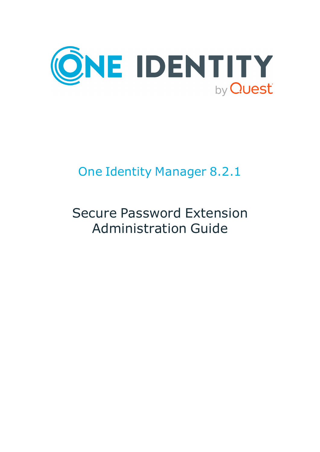

# One Identity Manager 8.2.1

# Secure Password Extension Administration Guide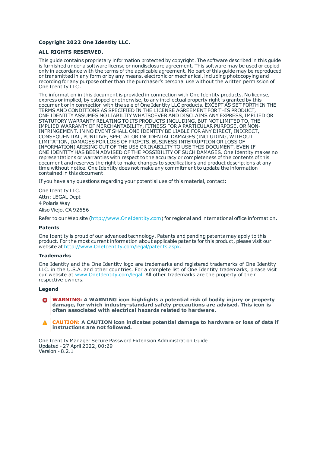#### **Copyright 2022 One Identity LLC.**

#### **ALL RIGHTS RESERVED.**

This guide contains proprietary information protected by copyright. The software described in this guide is furnished under a software license or nondisclosure agreement. This software may be used or copied only in accordance with the terms of the applicable agreement. No part of this guide may be reproduced or transmitted in any form or by any means, electronic or mechanical, including photocopying and recording for any purpose other than the purchaser's personal use without the written permission of One Identity LLC .

The information in this document is provided in connection with One Identity products. No license, express or implied, by estoppel or otherwise, to any intellectual property right is granted by this document or in connection with the sale of One Identity LLC products. EXCEPT AS SET FORTH IN THE TERMS AND CONDITIONS AS SPECIFIED IN THE LICENSE AGREEMENT FOR THIS PRODUCT, ONE IDENTITY ASSUMES NO LIABILITY WHATSOEVER AND DISCLAIMS ANY EXPRESS, IMPLIED OR STATUTORY WARRANTY RELATING TO ITS PRODUCTS INCLUDING, BUT NOT LIMITED TO, THE IMPLIED WARRANTY OF MERCHANTABILITY, FITNESS FOR A PARTICULAR PURPOSE, OR NON-INFRINGEMENT. IN NO EVENT SHALL ONE IDENTITY BE LIABLE FOR ANY DIRECT, INDIRECT, CONSEQUENTIAL, PUNITIVE, SPECIAL OR INCIDENTAL DAMAGES (INCLUDING, WITHOUT LIMITATION, DAMAGES FOR LOSS OF PROFITS, BUSINESS INTERRUPTION OR LOSS OF INFORMATION) ARISING OUT OF THE USE OR INABILITY TO USE THIS DOCUMENT, EVEN IF ONE IDENTITY HAS BEEN ADVISED OF THE POSSIBILITY OF SUCH DAMAGES. One Identity makes no representations or warranties with respect to the accuracy or completeness of the contents of this document and reserves the right to make changes to specifications and product descriptions at any time without notice. One Identity does not make any commitment to update the information contained in this document.

If you have any questions regarding your potential use of this material, contact:

One Identity LLC. Attn: LEGAL Dept 4 Polaris Way Aliso Viejo, CA 92656

Refer to our Web site ([http://www.OneIdentity.com](http://www.oneidentity.com/)) for regional and international office information.

#### **Patents**

One Identity is proud of our advanced technology. Patents and pending patents may apply to this product. For the most current information about applicable patents for this product, please visit our website at [http://www.OneIdentity.com/legal/patents.aspx](http://www.oneidentity.com/legal/patents.aspx).

#### **Trademarks**

One Identity and the One Identity logo are trademarks and registered trademarks of One Identity LLC. in the U.S.A. and other countries. For a complete list of One Identity trademarks, please visit our website at [www.OneIdentity.com/legal](http://www.oneidentity.com/legal). All other trademarks are the property of their respective owners.

#### **Legend**

**WARNING: A WARNING icon highlights a potential risk of bodily injury or property damage, for which industry-standard safety precautions are advised. This icon is often associated with electrical hazards related to hardware.**

**CAUTION: A CAUTION icon indicates potential damage to hardware or loss of data if** A **instructions are not followed.**

One Identity Manager Secure Password Extension Administration Guide Updated - 27 April 2022, 00:29 Version - 8.2.1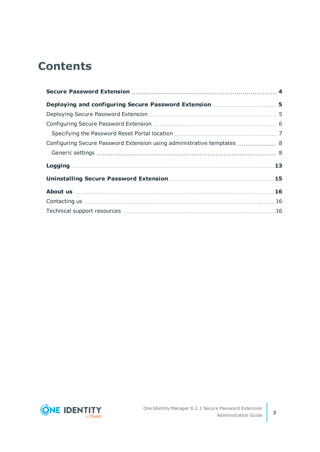## **Contents**

| Configuring Secure Password Extension using administrative templates  8 |  |
|-------------------------------------------------------------------------|--|
|                                                                         |  |
|                                                                         |  |
|                                                                         |  |
|                                                                         |  |
|                                                                         |  |
|                                                                         |  |

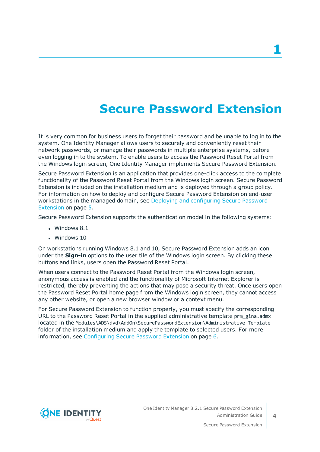## **Secure Password Extension**

<span id="page-3-0"></span>It is very common for business users to forget their password and be unable to log in to the system. One Identity Manager allows users to securely and conveniently reset their network passwords, or manage their passwords in multiple enterprise systems, before even logging in to the system. To enable users to access the Password Reset Portal from the Windows login screen, One Identity Manager implements Secure Password Extension.

Secure Password Extension is an application that provides one-click access to the complete functionality of the Password Reset Portal from the Windows login screen. Secure Password Extension is included on the installation medium and is deployed through a group policy. For information on how to deploy and configure Secure Password Extension on end-user workstations in the managed domain, see Deploying and [configuring](#page-4-0) Secure Password [Extension](#page-4-0) on page 5.

Secure Password Extension supports the authentication model in the following systems:

- $\cdot$  Windows 8.1
- $\bullet$  Windows 10

On workstations running Windows 8.1 and 10, Secure Password Extension adds an icon under the **Sign-in** options to the user tile of the Windows login screen. By clicking these buttons and links, users open the Password Reset Portal.

When users connect to the Password Reset Portal from the Windows login screen, anonymous access is enabled and the functionality of Microsoft Internet Explorer is restricted, thereby preventing the actions that may pose a security threat. Once users open the Password Reset Portal home page from the Windows login screen, they cannot access any other website, or open a new browser window or a context menu.

For Secure Password Extension to function properly, you must specify the corresponding URL to the Password Reset Portal in the supplied administrative template prm gina.admx located in the Modules\ADS\dvd\AddOn\SecurePasswordExtension\Administrative Template folder of the installation medium and apply the template to selected users. For more information, see [Configuring](#page-5-0) Secure Password Extension on page 6.



**4**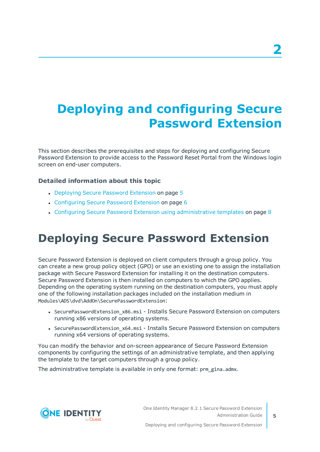# <span id="page-4-0"></span>**Deploying and configuring Secure Password Extension**

This section describes the prerequisites and steps for deploying and configuring Secure Password Extension to provide access to the Password Reset Portal from the Windows login screen on end-user computers.

### **Detailed information about this topic**

- [Deploying](#page-4-1) Secure Password Extension on page 5
- [Configuring](#page-5-0) Secure Password Extension on page 6
- <span id="page-4-1"></span>• Configuring Secure Password Extension using [administrative](#page-7-0) templates on page 8

### **Deploying Secure Password Extension**

Secure Password Extension is deployed on client computers through a group policy. You can create a new group policy object (GPO) or use an existing one to assign the installation package with Secure Password Extension for installing it on the destination computers. Secure Password Extension is then installed on computers to which the GPO applies. Depending on the operating system running on the destination computers, you must apply one of the following installation packages included on the installation medium in Modules\ADS\dvd\AddOn\SecurePasswordExtension:

- SecurePasswordExtension x86.msi Installs Secure Password Extension on computers running x86 versions of operating systems.
- SecurePasswordExtension x64.msi Installs Secure Password Extension on computers running x64 versions of operating systems.

You can modify the behavior and on-screen appearance of Secure Password Extension components by configuring the settings of an administrative template, and then applying the template to the target computers through a group policy.

The administrative template is available in only one format: prm gina.admx.

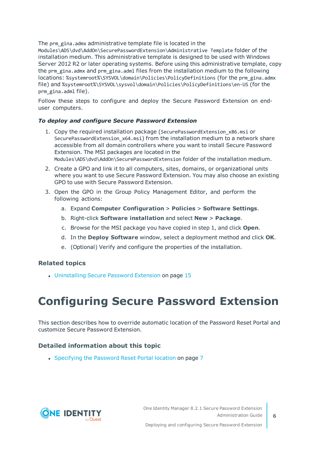The prm gina.admx administrative template file is located in the

Modules\ADS\dvd\AddOn\SecurePasswordExtension\Administrative Template folder of the installation medium. This administrative template is designed to be used with Windows Server 2012 R2 or later operating systems. Before using this administrative template, copy the prm\_gina.admx and prm\_gina.adml files from the installation medium to the following locations: %systemroot%\SYSVOL\domain\Policies\PolicyDefinitions (for the prm\_gina.admx file) and %systemroot%\SYSVOL\sysvol\domain\Policies\PolicyDefinitions\en-US (for the prm\_gina.adml file).

Follow these steps to configure and deploy the Secure Password Extension on enduser computers.

### *To deploy and configure Secure Password Extension*

- 1. Copy the required installation package (SecurePasswordExtension\_x86.msi or SecurePasswordExtension\_x64.msi) from the installation medium to a network share accessible from all domain controllers where you want to install Secure Password Extension. The MSI packages are located in the Modules\ADS\dvd\AddOn\SecurePasswordExtension folder of the installation medium.
- 2. Create a GPO and link it to all computers, sites, domains, or organizational units where you want to use Secure Password Extension. You may also choose an existing GPO to use with Secure Password Extension.
- 3. Open the GPO in the Group Policy Management Editor, and perform the following actions:
	- a. Expand **Computer Configuration** > **Policies** > **Software Settings**.
	- b. Right-click **Software installation** and select **New** > **Package**.
	- c. Browse for the MSI package you have copied in step 1, and click **Open**.
	- d. In the **Deploy Software** window, select a deployment method and click **OK**.
	- e. (Optional) Verify and configure the properties of the installation.

### **Related topics**

• [Uninstalling](#page-14-0) Secure Password Extension on page 15

## <span id="page-5-0"></span>**Configuring Secure Password Extension**

This section describes how to override automatic location of the Password Reset Portal and customize Secure Password Extension.

### **Detailed information about this topic**

• [Specifying](#page-6-0) the Password Reset Portal location on page 7

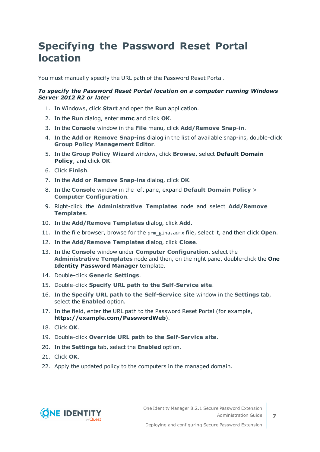### <span id="page-6-0"></span>**Specifying the Password Reset Portal location**

You must manually specify the URL path of the Password Reset Portal.

### *To specify the Password Reset Portal location on a computer running Windows Server 2012 R2 or later*

- 1. In Windows, click **Start** and open the **Run** application.
- 2. In the **Run** dialog, enter **mmc** and click **OK**.
- 3. In the **Console** window in the **File** menu, click **Add/Remove Snap-in**.
- 4. In the **Add or Remove Snap-ins** dialog in the list of available snap-ins, double-click **Group Policy Management Editor**.
- 5. In the **Group Policy Wizard** window, click **Browse**, select **Default Domain Policy**, and click **OK**.
- 6. Click **Finish**.
- 7. In the **Add or Remove Snap-ins** dialog, click **OK**.
- 8. In the **Console** window in the left pane, expand **Default Domain Policy** > **Computer Configuration**.
- 9. Right-click the **Administrative Templates** node and select **Add/Remove Templates**.
- 10. In the **Add/Remove Templates** dialog, click **Add**.
- 11. In the file browser, browse for the prm\_gina.admx file, select it, and then click **Open**.
- 12. In the **Add/Remove Templates** dialog, click **Close**.
- 13. In the **Console** window under **Computer Configuration**, select the **Administrative Templates** node and then, on the right pane, double-click the **One Identity Password Manager** template.
- 14. Double-click **Generic Settings**.
- 15. Double-click **Specify URL path to the Self-Service site**.
- 16. In the **Specify URL path to the Self-Service site** window in the **Settings** tab, select the **Enabled** option.
- 17. In the field, enter the URL path to the Password Reset Portal (for example, **https://example.com/PasswordWeb**).
- 18. Click **OK**.
- 19. Double-click **Override URL path to the Self-Service site**.
- 20. In the **Settings** tab, select the **Enabled** option.
- 21. Click **OK**.
- 22. Apply the updated policy to the computers in the managed domain.

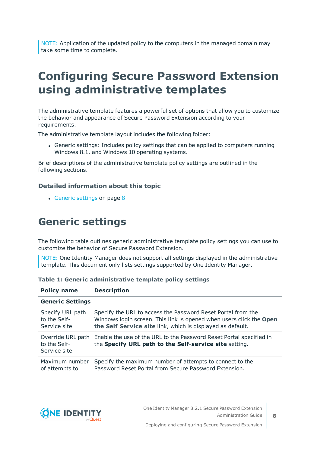NOTE: Application of the updated policy to the computers in the managed domain may take some time to complete.

## <span id="page-7-0"></span>**Configuring Secure Password Extension using administrative templates**

The administrative template features a powerful set of options that allow you to customize the behavior and appearance of Secure Password Extension according to your requirements.

The administrative template layout includes the following folder:

• Generic settings: Includes policy settings that can be applied to computers running Windows 8.1, and Windows 10 operating systems.

Brief descriptions of the administrative template policy settings are outlined in the following sections.

### **Detailed information about this topic**

• Generic [settings](#page-7-1) on page 8

### <span id="page-7-1"></span>**Generic settings**

**Policy name Description**

The following table outlines generic administrative template policy settings you can use to customize the behavior of Secure Password Extension.

NOTE: One Identity Manager does not support all settings displayed in the administrative template. This document only lists settings supported by One Identity Manager.

| <b>Generic Settings</b> |                                                                                       |  |
|-------------------------|---------------------------------------------------------------------------------------|--|
| Specify URL path        | Specify the URL to access the Password Reset Portal from the                          |  |
| to the Self-            | Windows login screen. This link is opened when users click the Open                   |  |
| Service site            | the Self Service site link, which is displayed as default.                            |  |
| to the Self-            | Override URL path Enable the use of the URL to the Password Reset Portal specified in |  |
| Service site            | the Specify URL path to the Self-service site setting.                                |  |
| Maximum number          | Specify the maximum number of attempts to connect to the                              |  |
| of attempts to          | Password Reset Portal from Secure Password Extension.                                 |  |

### **Table 1: Generic administrative template policy settings**

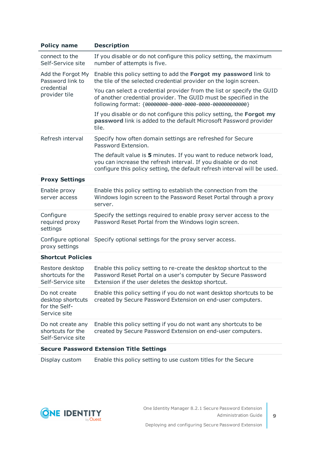| <b>Policy name</b>                                                   | <b>Description</b>                                                                                                                                                                                                  |
|----------------------------------------------------------------------|---------------------------------------------------------------------------------------------------------------------------------------------------------------------------------------------------------------------|
| connect to the<br>Self-Service site                                  | If you disable or do not configure this policy setting, the maximum<br>number of attempts is five.                                                                                                                  |
| Add the Forgot My<br>Password link to<br>credential<br>provider tile | Enable this policy setting to add the Forgot my password link to<br>the tile of the selected credential provider on the login screen.                                                                               |
|                                                                      | You can select a credential provider from the list or specify the GUID<br>of another credential provider. The GUID must be specified in the<br>following format: {00000000-0000-0000-0000-00000000000}              |
|                                                                      | If you disable or do not configure this policy setting, the Forgot my<br>password link is added to the default Microsoft Password provider<br>tile.                                                                 |
| Refresh interval                                                     | Specify how often domain settings are refreshed for Secure<br>Password Extension.                                                                                                                                   |
|                                                                      | The default value is 5 minutes. If you want to reduce network load,<br>you can increase the refresh interval. If you disable or do not<br>configure this policy setting, the default refresh interval will be used. |
| <b>Proxy Settings</b>                                                |                                                                                                                                                                                                                     |
| Enable proxy<br>server access                                        | Enable this policy setting to establish the connection from the<br>Windows login screen to the Password Reset Portal through a proxy<br>server.                                                                     |
| Configure<br>required proxy<br>settings                              | Specify the settings required to enable proxy server access to the<br>Password Reset Portal from the Windows login screen.                                                                                          |
| Configure optional<br>proxy settings                                 | Specify optional settings for the proxy server access.                                                                                                                                                              |
| <b>Shortcut Policies</b>                                             |                                                                                                                                                                                                                     |
| Restore desktop<br>shortcuts for the<br>Self-Service site            | Enable this policy setting to re-create the desktop shortcut to the<br>Password Reset Portal on a user's computer by Secure Password<br>Extension if the user deletes the desktop shortcut.                         |
| Do not create<br>desktop shortcuts<br>for the Self-<br>Service site  | Enable this policy setting if you do not want desktop shortcuts to be<br>created by Secure Password Extension on end-user computers.                                                                                |
| Do not create any<br>shortcuts for the<br>Self-Service site          | Enable this policy setting if you do not want any shortcuts to be<br>created by Secure Password Extension on end-user computers.                                                                                    |
|                                                                      | <b>Secure Password Extension Title Settings</b>                                                                                                                                                                     |
| Display custom                                                       | Enable this policy setting to use custom titles for the Secure                                                                                                                                                      |

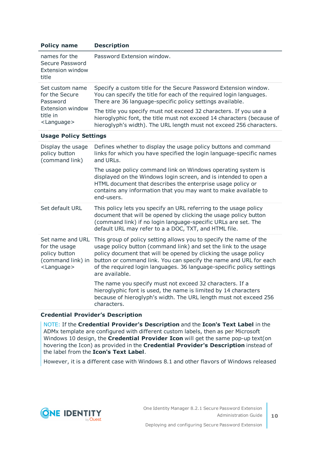| <b>Policy name</b>                                                                                            | <b>Description</b>                                                                                                                                                                                                                                                                                                                                                         |
|---------------------------------------------------------------------------------------------------------------|----------------------------------------------------------------------------------------------------------------------------------------------------------------------------------------------------------------------------------------------------------------------------------------------------------------------------------------------------------------------------|
| names for the<br>Secure Password<br><b>Extension window</b><br>title                                          | Password Extension window.                                                                                                                                                                                                                                                                                                                                                 |
| Set custom name<br>for the Secure<br>Password<br><b>Extension window</b><br>title in<br><language></language> | Specify a custom title for the Secure Password Extension window.<br>You can specify the title for each of the required login languages.<br>There are 36 language-specific policy settings available.                                                                                                                                                                       |
|                                                                                                               | The title you specify must not exceed 32 characters. If you use a<br>hieroglyphic font, the title must not exceed 14 characters (because of<br>hieroglyph's width). The URL length must not exceed 256 characters.                                                                                                                                                         |
| <b>Usage Policy Settings</b>                                                                                  |                                                                                                                                                                                                                                                                                                                                                                            |
| Display the usage<br>policy button<br>(command link)                                                          | Defines whether to display the usage policy buttons and command<br>links for which you have specified the login language-specific names<br>and URLs.                                                                                                                                                                                                                       |
|                                                                                                               | The usage policy command link on Windows operating system is<br>displayed on the Windows login screen, and is intended to open a<br>HTML document that describes the enterprise usage policy or<br>contains any information that you may want to make available to<br>end-users.                                                                                           |
| Set default URL                                                                                               | This policy lets you specify an URL referring to the usage policy<br>document that will be opened by clicking the usage policy button<br>(command link) if no login language-specific URLs are set. The<br>default URL may refer to a a DOC, TXT, and HTML file.                                                                                                           |
| Set name and URL<br>for the usage<br>policy button<br>(command link) in<br><language></language>              | This group of policy setting allows you to specify the name of the<br>usage policy button (command link) and set the link to the usage<br>policy document that will be opened by clicking the usage policy<br>button or command link. You can specify the name and URL for each<br>of the required login languages. 36 language-specific policy settings<br>are available. |
|                                                                                                               | The name you specify must not exceed 32 characters. If a<br>hieroglyphic font is used, the name is limited by 14 characters<br>because of hieroglyph's width. The URL length must not exceed 256<br>characters.                                                                                                                                                            |
| should be the company of the first                                                                            |                                                                                                                                                                                                                                                                                                                                                                            |

#### **Credential Provider's Description**

NOTE: If the **Credential Provider's Description** and the **Icon's Text Label** in the ADMx template are configured with different custom labels, then as per Microsoft Windows 10 design, the **Credential Provider Icon** will get the same pop-up text(on hovering the Icon) as provided in the **Credential Provider's Description** instead of the label from the **Icon's Text Label**.

However, it is a different case with Windows 8.1 and other flavors of Windows released

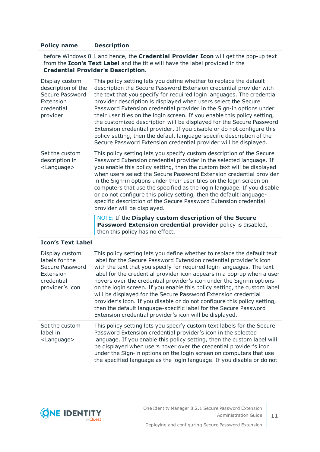### **Policy name Description**

before Windows 8.1 and hence, the **Credential Provider Icon** will get the pop-up text from the **Icon's Text Label** and the title will have the label provided in the **Credential Provider's Description**.

| Display custom<br>description of the<br>Secure Password<br>Extension<br>credential<br>provider | This policy setting lets you define whether to replace the default<br>description the Secure Password Extension credential provider with<br>the text that you specify for required login languages. The credential<br>provider description is displayed when users select the Secure<br>Password Extension credential provider in the Sign-in options under<br>their user tiles on the login screen. If you enable this policy setting,<br>the customized description will be displayed for the Secure Password<br>Extension credential provider. If you disable or do not configure this<br>policy setting, then the default language-specific description of the<br>Secure Password Extension credential provider will be displayed. |
|------------------------------------------------------------------------------------------------|----------------------------------------------------------------------------------------------------------------------------------------------------------------------------------------------------------------------------------------------------------------------------------------------------------------------------------------------------------------------------------------------------------------------------------------------------------------------------------------------------------------------------------------------------------------------------------------------------------------------------------------------------------------------------------------------------------------------------------------|
| Set the custom<br>description in<br><language></language>                                      | This policy setting lets you specify custom description of the Secure<br>Password Extension credential provider in the selected language. If<br>you enable this policy setting, then the custom text will be displayed<br>when users select the Secure Password Extension credential provider<br>in the Sign-in options under their user tiles on the login screen on<br>computers that use the specified as the login language. If you disable<br>or do not configure this policy setting, then the default language-<br>specific description of the Secure Password Extension credential<br>provider will be displayed.<br>NOTE: If the Display custom description of the Secure                                                     |

**Password Extension credential provider** policy is disabled, then this policy has no effect.

#### **Icon's Text Label**

| Display custom<br>labels for the<br>Secure Password<br>Extension<br>credential<br>provider's icon | This policy setting lets you define whether to replace the default text<br>label for the Secure Password Extension credential provider's icon<br>with the text that you specify for required login languages. The text<br>label for the credential provider icon appears in a pop-up when a user<br>hovers over the credential provider's icon under the Sign-in options<br>on the login screen. If you enable this policy setting, the custom label<br>will be displayed for the Secure Password Extension credential<br>provider's icon. If you disable or do not configure this policy setting,<br>then the default language-specific label for the Secure Password<br>Extension credential provider's icon will be displayed. |
|---------------------------------------------------------------------------------------------------|-----------------------------------------------------------------------------------------------------------------------------------------------------------------------------------------------------------------------------------------------------------------------------------------------------------------------------------------------------------------------------------------------------------------------------------------------------------------------------------------------------------------------------------------------------------------------------------------------------------------------------------------------------------------------------------------------------------------------------------|
| Set the custom<br>label in<br><language></language>                                               | This policy setting lets you specify custom text labels for the Secure<br>Password Extension credential provider's icon in the selected<br>language. If you enable this policy setting, then the custom label will<br>be displayed when users hover over the credential provider's icon<br>under the Sign-in options on the login screen on computers that use<br>the specified language as the login language. If you disable or do not                                                                                                                                                                                                                                                                                          |



**11**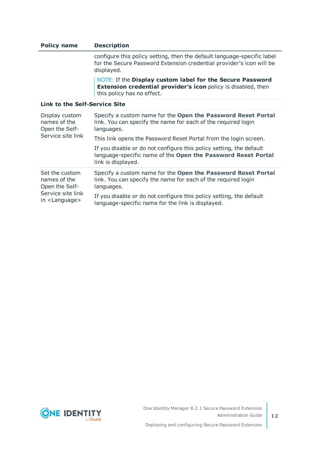| <b>Policy name</b>                                                    | <b>Description</b>                                                                                                                                              |
|-----------------------------------------------------------------------|-----------------------------------------------------------------------------------------------------------------------------------------------------------------|
|                                                                       | configure this policy setting, then the default language-specific label<br>for the Secure Password Extension credential provider's icon will be<br>displayed.   |
|                                                                       | NOTE: If the Display custom label for the Secure Password<br><b>Extension credential provider's icon</b> policy is disabled, then<br>this policy has no effect. |
| Link to the Self-Service Site                                         |                                                                                                                                                                 |
| Display custom<br>names of the<br>Open the Self-<br>Service site link | Specify a custom name for the Open the Password Reset Portal<br>link. You can specify the name for each of the required login<br>languages.                     |
|                                                                       | This link opens the Password Reset Portal from the login screen.                                                                                                |
|                                                                       | If you disable or do not configure this policy setting, the default                                                                                             |

|                                                  | language-specific name of the Open the Password Reset Portal<br>link is displayed.                                                          |
|--------------------------------------------------|---------------------------------------------------------------------------------------------------------------------------------------------|
| Set the custom<br>names of the<br>Open the Self- | Specify a custom name for the Open the Password Reset Portal<br>link. You can specify the name for each of the required login<br>languages. |
| Service site link                                | If you disable or do not configure this policy setting, the default                                                                         |

language-specific name for the link is displayed.



in <Language>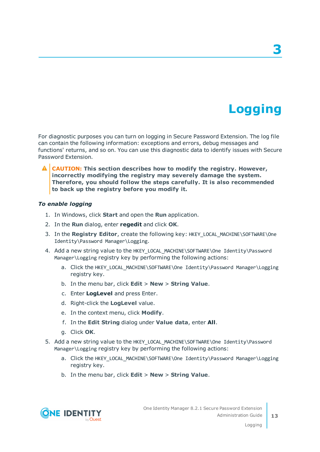# **Logging**

**3**

<span id="page-12-0"></span>For diagnostic purposes you can turn on logging in Secure Password Extension. The log file can contain the following information: exceptions and errors, debug messages and functions' returns, and so on. You can use this diagnostic data to identify issues with Secure Password Extension.

**CAUTION: This section describes how to modify the registry. However, incorrectly modifying the registry may severely damage the system. Therefore, you should follow the steps carefully. It is also recommended to back up the registry before you modify it.**

#### *To enable logging*

- 1. In Windows, click **Start** and open the **Run** application.
- 2. In the **Run** dialog, enter **regedit** and click **OK**.
- 3. In the **Registry Editor**, create the following key: HKEY\_LOCAL\_MACHINE\SOFTWARE\One Identity\Password Manager\Logging.
- 4. Add a new string value to the HKEY\_LOCAL\_MACHINE\SOFTWARE\One Identity\Password Manager\Logging registry key by performing the following actions:
	- a. Click the HKEY LOCAL MACHINE\SOFTWARE\One Identity\Password Manager\Logging registry key.
	- b. In the menu bar, click **Edit** > **New** > **String Value**.
	- c. Enter **LogLevel** and press Enter.
	- d. Right-click the **LogLevel** value.
	- e. In the context menu, click **Modify**.
	- f. In the **Edit String** dialog under **Value data**, enter **All**.
	- g. Click **OK**.
- 5. Add a new string value to the HKEY LOCAL MACHINE\SOFTWARE\One Identity\Password Manager\Logging registry key by performing the following actions:
	- a. Click the HKEY\_LOCAL\_MACHINE\SOFTWARE\One Identity\Password Manager\Logging registry key.
	- b. In the menu bar, click **Edit** > **New** > **String Value**.

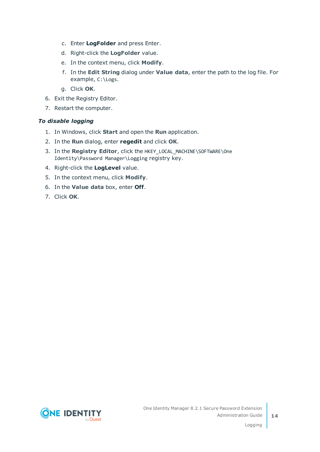- c. Enter **LogFolder** and press Enter.
- d. Right-click the **LogFolder** value.
- e. In the context menu, click **Modify**.
- f. In the **Edit String** dialog under **Value data**, enter the path to the log file. For example, C:\Logs.
- g. Click **OK**.
- 6. Exit the Registry Editor.
- 7. Restart the computer.

### *To disable logging*

- 1. In Windows, click **Start** and open the **Run** application.
- 2. In the **Run** dialog, enter **regedit** and click **OK**.
- 3. In the **Registry Editor**, click the HKEY LOCAL MACHINE\SOFTWARE\One Identity\Password Manager\Logging registry key.
- 4. Right-click the **LogLevel** value.
- 5. In the context menu, click **Modify**.
- 6. In the **Value data** box, enter **Off**.
- 7. Click **OK**.

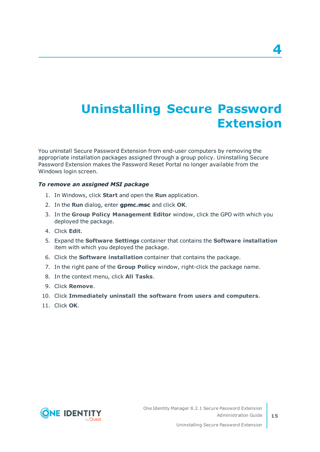# <span id="page-14-0"></span>**Uninstalling Secure Password Extension**

You uninstall Secure Password Extension from end-user computers by removing the appropriate installation packages assigned through a group policy. Uninstalling Secure Password Extension makes the Password Reset Portal no longer available from the Windows login screen.

#### *To remove an assigned MSI package*

- 1. In Windows, click **Start** and open the **Run** application.
- 2. In the **Run** dialog, enter **gpmc.msc** and click **OK**.
- 3. In the **Group Policy Management Editor** window, click the GPO with which you deployed the package.
- 4. Click **Edit**.
- 5. Expand the **Software Settings** container that contains the **Software installation** item with which you deployed the package.
- 6. Click the **Software installation** container that contains the package.
- 7. In the right pane of the **Group Policy** window, right-click the package name.
- 8. In the context menu, click **All Tasks**.
- 9. Click **Remove**.
- 10. Click **Immediately uninstall the software from users and computers**.
- 11. Click **OK**.



**15**